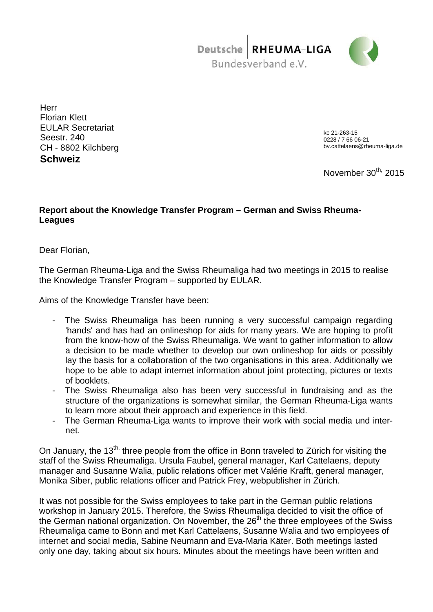Deutsche RHEUMA-LIGA Bundesverband e.V.



**Herr** Florian Klett EULAR Secretariat Seestr. 240 CH - 8802 Kilchberg **Schweiz**

kc 21-263-15 0228 / 7 66 06-21 bv.cattelaens@rheuma-liga.de

November 30<sup>th,</sup> 2015

# **Report about the Knowledge Transfer Program – German and Swiss Rheuma-Leagues**

Dear Florian,

The German Rheuma-Liga and the Swiss Rheumaliga had two meetings in 2015 to realise the Knowledge Transfer Program – supported by EULAR.

Aims of the Knowledge Transfer have been:

- The Swiss Rheumaliga has been running a very successful campaign regarding 'hands' and has had an onlineshop for aids for many years. We are hoping to profit from the know-how of the Swiss Rheumaliga. We want to gather information to allow a decision to be made whether to develop our own onlineshop for aids or possibly lay the basis for a collaboration of the two organisations in this area. Additionally we hope to be able to adapt internet information about joint protecting, pictures or texts of booklets.
- The Swiss Rheumaliga also has been very successful in fundraising and as the structure of the organizations is somewhat similar, the German Rheuma-Liga wants to learn more about their approach and experience in this field.
- The German Rheuma-Liga wants to improve their work with social media und internet.

On January, the 13<sup>th,</sup> three people from the office in Bonn traveled to Zürich for visiting the staff of the Swiss Rheumaliga. Ursula Faubel, general manager, Karl Cattelaens, deputy manager and Susanne Walia, public relations officer met Valérie Krafft, general manager, Monika Siber, public relations officer and Patrick Frey, webpublisher in Zürich.

It was not possible for the Swiss employees to take part in the German public relations workshop in January 2015. Therefore, the Swiss Rheumaliga decided to visit the office of the German national organization. On November, the  $26<sup>th</sup>$  the three employees of the Swiss Rheumaliga came to Bonn and met Karl Cattelaens, Susanne Walia and two employees of internet and social media, Sabine Neumann and Eva-Maria Käter. Both meetings lasted only one day, taking about six hours. Minutes about the meetings have been written and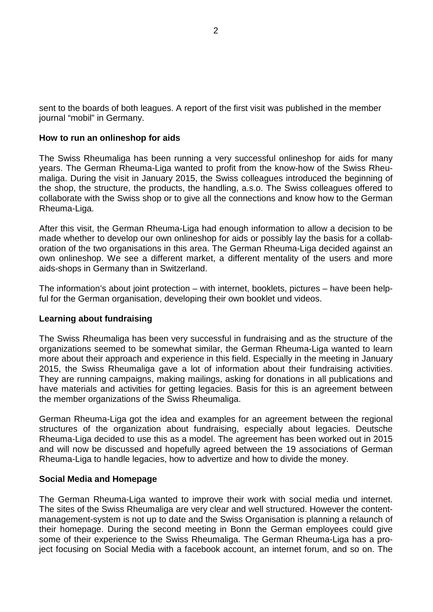sent to the boards of both leagues. A report of the first visit was published in the member journal "mobil" in Germany.

### **How to run an onlineshop for aids**

The Swiss Rheumaliga has been running a very successful onlineshop for aids for many years. The German Rheuma-Liga wanted to profit from the know-how of the Swiss Rheumaliga. During the visit in January 2015, the Swiss colleagues introduced the beginning of the shop, the structure, the products, the handling, a.s.o. The Swiss colleagues offered to collaborate with the Swiss shop or to give all the connections and know how to the German Rheuma-Liga.

After this visit, the German Rheuma-Liga had enough information to allow a decision to be made whether to develop our own onlineshop for aids or possibly lay the basis for a collaboration of the two organisations in this area. The German Rheuma-Liga decided against an own onlineshop. We see a different market, a different mentality of the users and more aids-shops in Germany than in Switzerland.

The information's about joint protection – with internet, booklets, pictures – have been helpful for the German organisation, developing their own booklet und videos.

## **Learning about fundraising**

The Swiss Rheumaliga has been very successful in fundraising and as the structure of the organizations seemed to be somewhat similar, the German Rheuma-Liga wanted to learn more about their approach and experience in this field. Especially in the meeting in January 2015, the Swiss Rheumaliga gave a lot of information about their fundraising activities. They are running campaigns, making mailings, asking for donations in all publications and have materials and activities for getting legacies. Basis for this is an agreement between the member organizations of the Swiss Rheumaliga.

German Rheuma-Liga got the idea and examples for an agreement between the regional structures of the organization about fundraising, especially about legacies. Deutsche Rheuma-Liga decided to use this as a model. The agreement has been worked out in 2015 and will now be discussed and hopefully agreed between the 19 associations of German Rheuma-Liga to handle legacies, how to advertize and how to divide the money.

#### **Social Media and Homepage**

The German Rheuma-Liga wanted to improve their work with social media und internet. The sites of the Swiss Rheumaliga are very clear and well structured. However the contentmanagement-system is not up to date and the Swiss Organisation is planning a relaunch of their homepage. During the second meeting in Bonn the German employees could give some of their experience to the Swiss Rheumaliga. The German Rheuma-Liga has a project focusing on Social Media with a facebook account, an internet forum, and so on. The